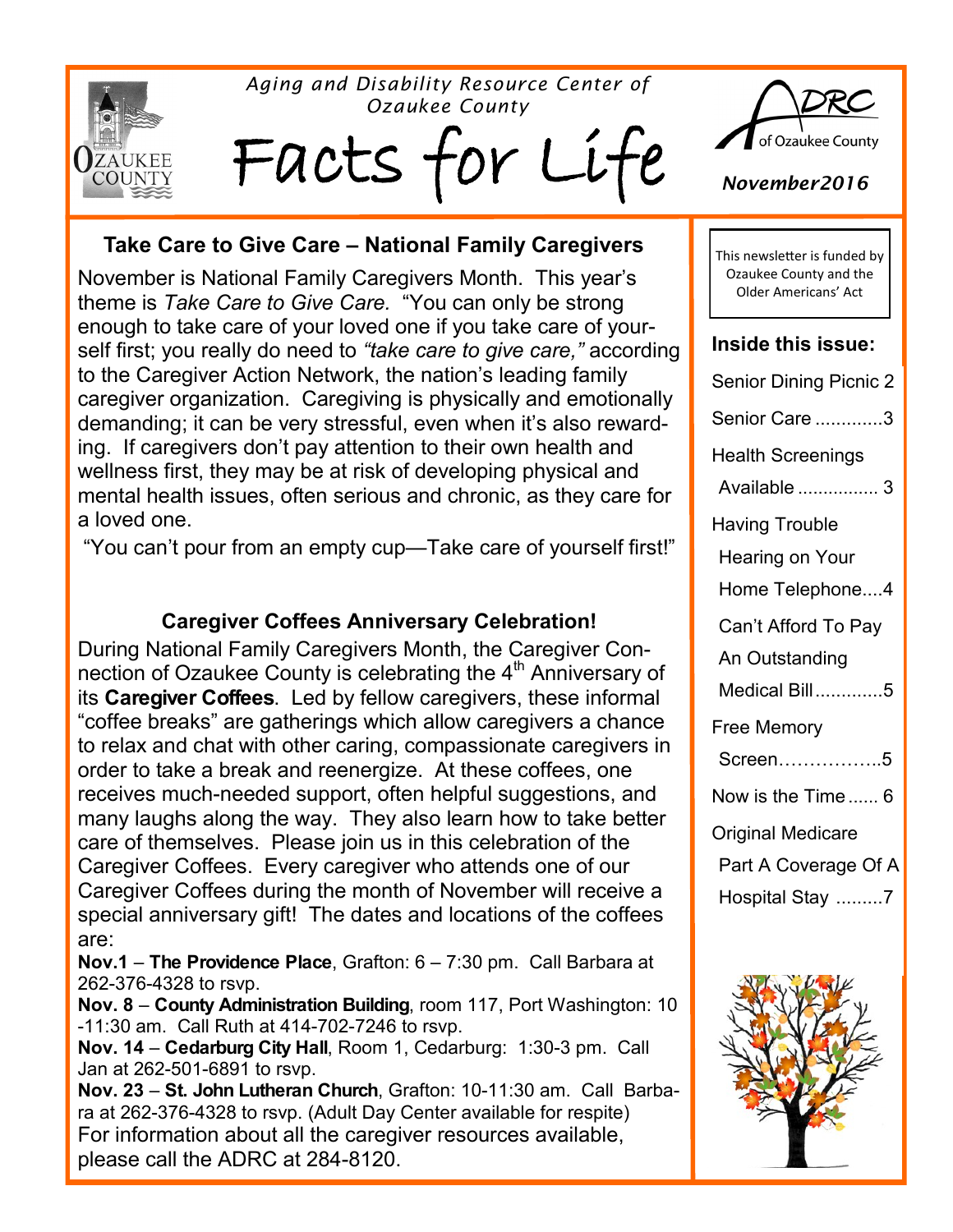

*Aging and Disability Resource Center of Ozaukee County*

Facts for Li



November is National Family Caregivers Month. This year's theme is *Take Care to Give Care.* "You can only be strong enough to take care of your loved one if you take care of yourself first; you really do need to *"take care to give care,"* according to the Caregiver Action Network, the nation's leading family caregiver organization. Caregiving is physically and emotionally demanding; it can be very stressful, even when it's also rewarding. If caregivers don't pay attention to their own health and wellness first, they may be at risk of developing physical and mental health issues, often serious and chronic, as they care for a loved one.

"You can't pour from an empty cup—Take care of yourself first!"

#### **Caregiver Coffees Anniversary Celebration!**

During National Family Caregivers Month, the Caregiver Connection of Ozaukee County is celebrating the 4<sup>th</sup> Anniversary of its **Caregiver Coffees**. Led by fellow caregivers, these informal "coffee breaks" are gatherings which allow caregivers a chance to relax and chat with other caring, compassionate caregivers in order to take a break and reenergize. At these coffees, one receives much-needed support, often helpful suggestions, and many laughs along the way. They also learn how to take better care of themselves. Please join us in this celebration of the Caregiver Coffees. Every caregiver who attends one of our Caregiver Coffees during the month of November will receive a special anniversary gift! The dates and locations of the coffees are:

**Nov.1** – **The Providence Place**, Grafton: 6 – 7:30 pm. Call Barbara at 262-376-4328 to rsvp.

**Nov. 8** – **County Administration Building**, room 117, Port Washington: 10 -11:30 am. Call Ruth at 414-702-7246 to rsvp.

**Nov. 14** – **Cedarburg City Hall**, Room 1, Cedarburg: 1:30-3 pm. Call Jan at 262-501-6891 to rsvp.

**Nov. 23** – **St. John Lutheran Church**, Grafton: 10-11:30 am. Call Barbara at 262-376-4328 to rsvp. (Adult Day Center available for respite) For information about all the caregiver resources available, please call the ADRC at 284-8120.



*November2016*

This newsletter is funded by Ozaukee County and the Older Americans' Act

#### **Inside this issue:**

| Senior Dining Picnic 2   |  |  |  |
|--------------------------|--|--|--|
| Senior Care 3            |  |  |  |
| <b>Health Screenings</b> |  |  |  |
| Available  3             |  |  |  |
| <b>Having Trouble</b>    |  |  |  |
| Hearing on Your          |  |  |  |
| Home Telephone4          |  |  |  |
| Can't Afford To Pay      |  |  |  |
| An Outstanding           |  |  |  |
| Medical Bill5            |  |  |  |
| Free Memory              |  |  |  |
| Screen5                  |  |  |  |
| Now is the Time  6       |  |  |  |
| Original Medicare        |  |  |  |
| Part A Coverage Of A     |  |  |  |
| Hospital Stay 7          |  |  |  |
|                          |  |  |  |

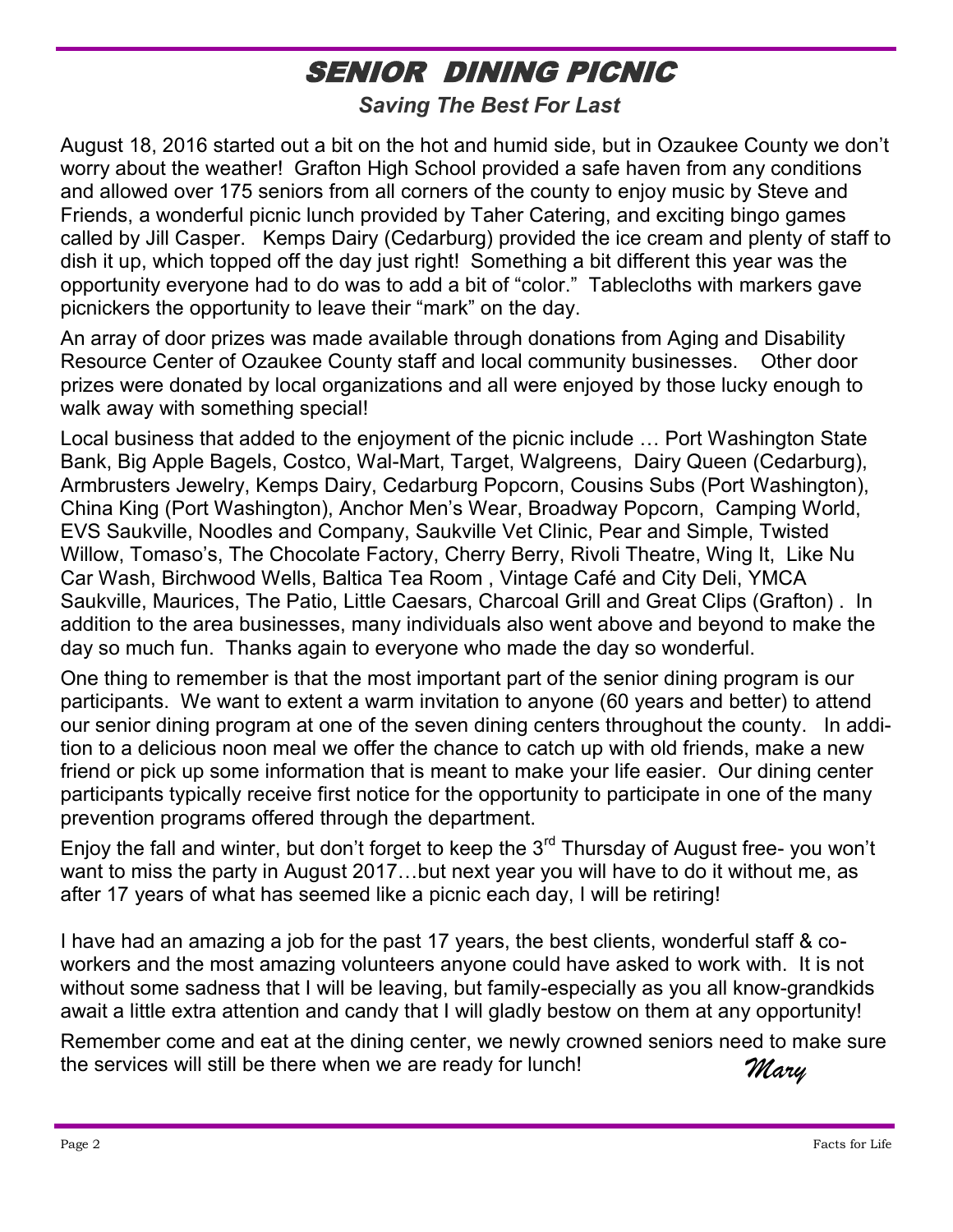# SENIOR DINING PICNIC

*Saving The Best For Last*

August 18, 2016 started out a bit on the hot and humid side, but in Ozaukee County we don't worry about the weather! Grafton High School provided a safe haven from any conditions and allowed over 175 seniors from all corners of the county to enjoy music by Steve and Friends, a wonderful picnic lunch provided by Taher Catering, and exciting bingo games called by Jill Casper. Kemps Dairy (Cedarburg) provided the ice cream and plenty of staff to dish it up, which topped off the day just right! Something a bit different this year was the opportunity everyone had to do was to add a bit of "color." Tablecloths with markers gave picnickers the opportunity to leave their "mark" on the day.

An array of door prizes was made available through donations from Aging and Disability Resource Center of Ozaukee County staff and local community businesses. Other door prizes were donated by local organizations and all were enjoyed by those lucky enough to walk away with something special!

Local business that added to the enjoyment of the picnic include … Port Washington State Bank, Big Apple Bagels, Costco, Wal-Mart, Target, Walgreens, Dairy Queen (Cedarburg), Armbrusters Jewelry, Kemps Dairy, Cedarburg Popcorn, Cousins Subs (Port Washington), China King (Port Washington), Anchor Men's Wear, Broadway Popcorn, Camping World, EVS Saukville, Noodles and Company, Saukville Vet Clinic, Pear and Simple, Twisted Willow, Tomaso's, The Chocolate Factory, Cherry Berry, Rivoli Theatre, Wing It, Like Nu Car Wash, Birchwood Wells, Baltica Tea Room , Vintage Café and City Deli, YMCA Saukville, Maurices, The Patio, Little Caesars, Charcoal Grill and Great Clips (Grafton) . In addition to the area businesses, many individuals also went above and beyond to make the day so much fun. Thanks again to everyone who made the day so wonderful.

One thing to remember is that the most important part of the senior dining program is our participants. We want to extent a warm invitation to anyone (60 years and better) to attend our senior dining program at one of the seven dining centers throughout the county. In addition to a delicious noon meal we offer the chance to catch up with old friends, make a new friend or pick up some information that is meant to make your life easier. Our dining center participants typically receive first notice for the opportunity to participate in one of the many prevention programs offered through the department.

Enjoy the fall and winter, but don't forget to keep the  $3<sup>rd</sup>$  Thursday of August free- you won't want to miss the party in August 2017…but next year you will have to do it without me, as after 17 years of what has seemed like a picnic each day, I will be retiring!

I have had an amazing a job for the past 17 years, the best clients, wonderful staff & coworkers and the most amazing volunteers anyone could have asked to work with. It is not without some sadness that I will be leaving, but family-especially as you all know-grandkids await a little extra attention and candy that I will gladly bestow on them at any opportunity!

*Mary* Remember come and eat at the dining center, we newly crowned seniors need to make sure the services will still be there when we are ready for lunch!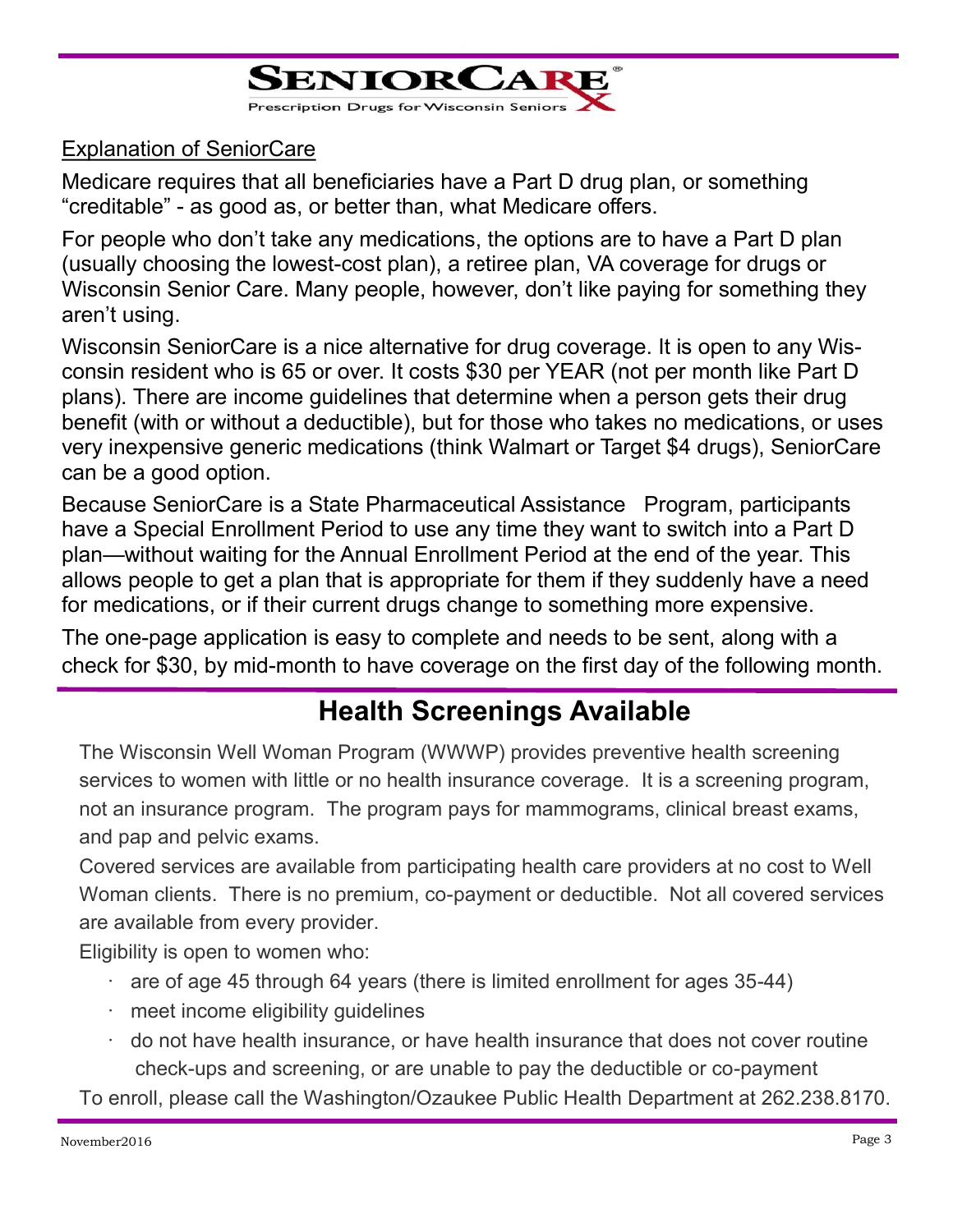

#### Explanation of SeniorCare

Medicare requires that all beneficiaries have a Part D drug plan, or something "creditable" - as good as, or better than, what Medicare offers.

For people who don't take any medications, the options are to have a Part D plan (usually choosing the lowest-cost plan), a retiree plan, VA coverage for drugs or Wisconsin Senior Care. Many people, however, don't like paying for something they aren't using.

Wisconsin SeniorCare is a nice alternative for drug coverage. It is open to any Wisconsin resident who is 65 or over. It costs \$30 per YEAR (not per month like Part D plans). There are income guidelines that determine when a person gets their drug benefit (with or without a deductible), but for those who takes no medications, or uses very inexpensive generic medications (think Walmart or Target \$4 drugs), SeniorCare can be a good option.

Because SeniorCare is a State Pharmaceutical Assistance Program, participants have a Special Enrollment Period to use any time they want to switch into a Part D plan—without waiting for the Annual Enrollment Period at the end of the year. This allows people to get a plan that is appropriate for them if they suddenly have a need for medications, or if their current drugs change to something more expensive.

The one-page application is easy to complete and needs to be sent, along with a check for \$30, by mid-month to have coverage on the first day of the following month.

## **Health Screenings Available**

The Wisconsin Well Woman Program (WWWP) provides preventive health screening services to women with little or no health insurance coverage. It is a screening program, not an insurance program. The program pays for mammograms, clinical breast exams, and pap and pelvic exams.

Covered services are available from participating health care providers at no cost to Well Woman clients. There is no premium, co-payment or deductible. Not all covered services are available from every provider.

Eligibility is open to women who:

- $\cdot$  are of age 45 through 64 years (there is limited enrollment for ages 35-44)
- · meet income eligibility guidelines
- · do not have health insurance, or have health insurance that does not cover routine check-ups and screening, or are unable to pay the deductible or co-payment

To enroll, please call the Washington/Ozaukee Public Health Department at 262.238.8170.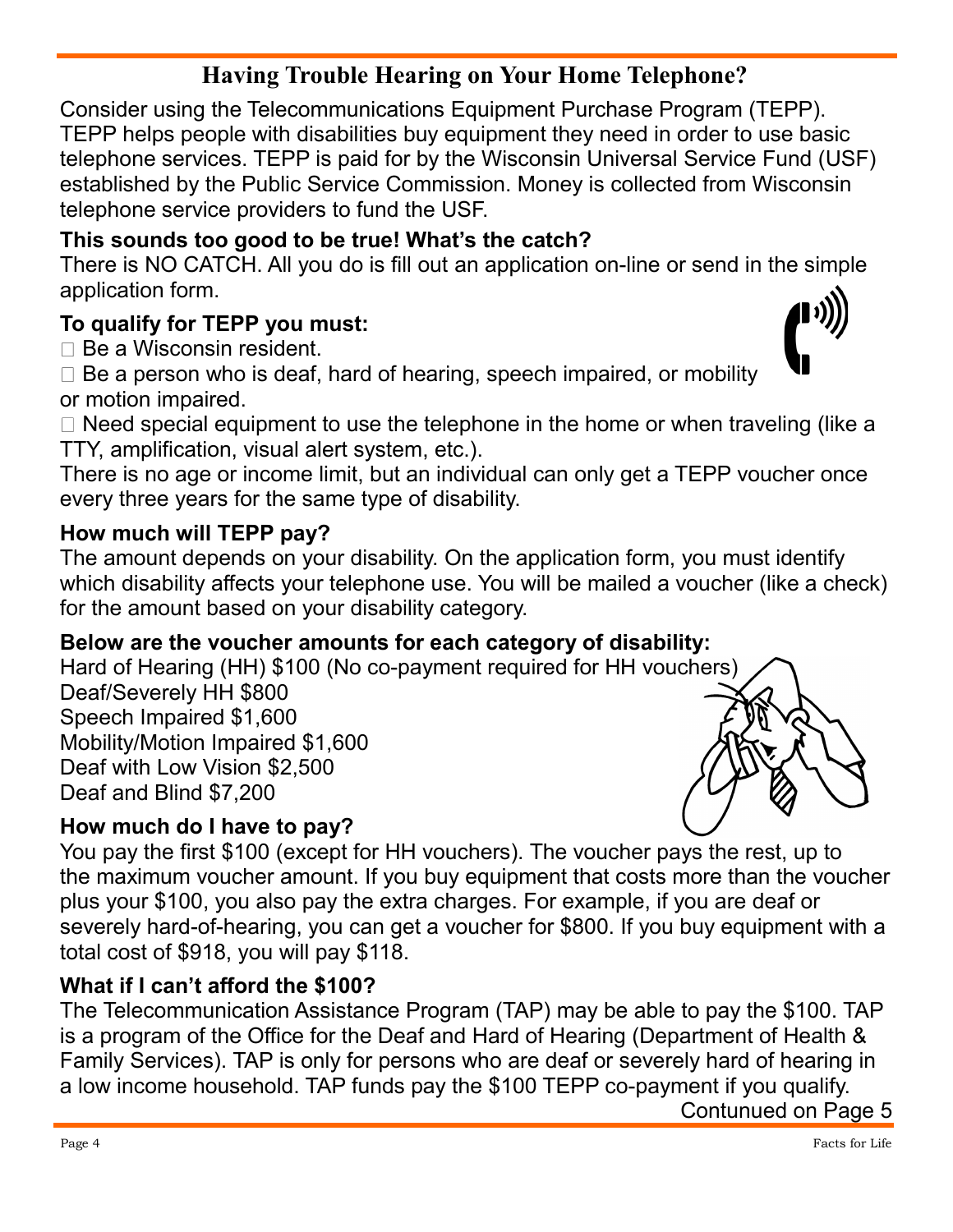## **Having Trouble Hearing on Your Home Telephone?**

Consider using the Telecommunications Equipment Purchase Program (TEPP). TEPP helps people with disabilities buy equipment they need in order to use basic telephone services. TEPP is paid for by the Wisconsin Universal Service Fund (USF) established by the Public Service Commission. Money is collected from Wisconsin telephone service providers to fund the USF.

### **This sounds too good to be true! What's the catch?**

There is NO CATCH. All you do is fill out an application on-line or send in the simple application form.

### **To qualify for TEPP you must:**

 $\Box$  Be a Wisconsin resident.

 $\Box$  Be a person who is deaf, hard of hearing, speech impaired, or mobility or motion impaired.

 $\Box$  Need special equipment to use the telephone in the home or when traveling (like a TTY, amplification, visual alert system, etc.).

There is no age or income limit, but an individual can only get a TEPP voucher once every three years for the same type of disability.

#### **How much will TEPP pay?**

The amount depends on your disability. On the application form, you must identify which disability affects your telephone use. You will be mailed a voucher (like a check) for the amount based on your disability category.

#### **Below are the voucher amounts for each category of disability:**

Hard of Hearing (HH) \$100 (No co-payment required for HH vou[chers\)](http://www.signspecialist.com/decals/beevault/pages/Telephone 091-0160.htm) Deaf/Severely HH \$800 Speech Impaired \$1,600 Mobility/Motion Impaired \$1,600 Deaf with Low Vision \$2,500 Deaf and Blind \$7,200

#### **How much do I have to pay?**

You pay the first \$100 (except for HH vouchers). The voucher pays the rest, up to the maximum voucher amount. If you buy equipment that costs more than the voucher plus your \$100, you also pay the extra charges. For example, if you are deaf or severely hard-of-hearing, you can get a voucher for \$800. If you buy equipment with a total cost of \$918, you will pay \$118.

#### **What if I can't afford the \$100?**

The Telecommunication Assistance Program (TAP) may be able to pay the \$100. TAP is a program of the Office for the Deaf and Hard of Hearing (Department of Health & Family Services). TAP is only for persons who are deaf or severely hard of hearing in a low income household. TAP funds pay the \$100 TEPP co-payment if you qualify.

Contunued on Page 5



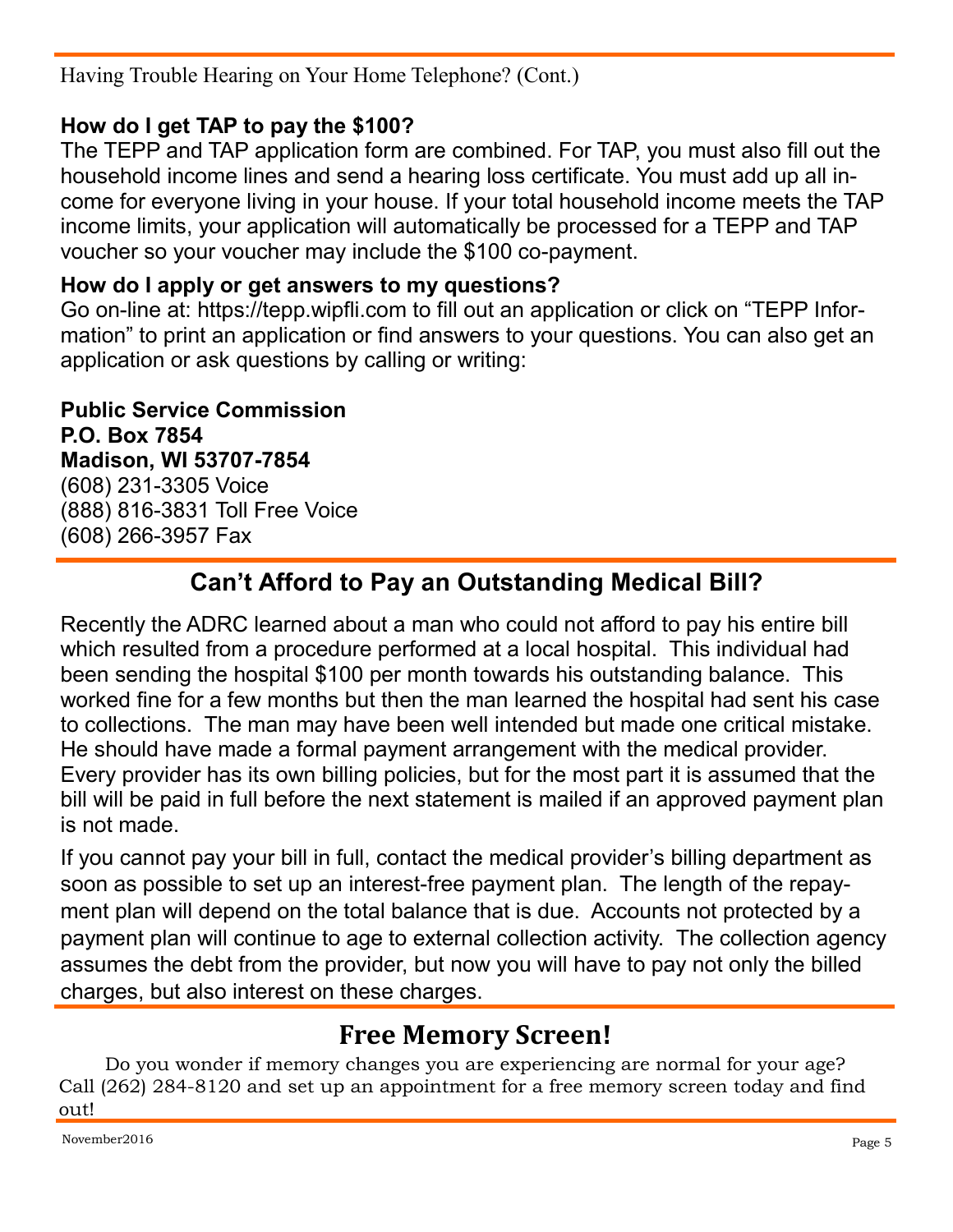Having Trouble Hearing on Your Home Telephone? (Cont.)

### **How do I get TAP to pay the \$100?**

The TEPP and TAP application form are combined. For TAP, you must also fill out the household income lines and send a hearing loss certificate. You must add up all income for everyone living in your house. If your total household income meets the TAP income limits, your application will automatically be processed for a TEPP and TAP voucher so your voucher may include the \$100 co-payment.

#### **How do I apply or get answers to my questions?**

Go on-line at: https://tepp.wipfli.com to fill out an application or click on "TEPP Information" to print an application or find answers to your questions. You can also get an application or ask questions by calling or writing:

**Public Service Commission P.O. Box 7854 Madison, WI 53707-7854** (608) 231-3305 Voice (888) 816-3831 Toll Free Voice (608) 266-3957 Fax

## **Can't Afford to Pay an Outstanding Medical Bill?**

Recently the ADRC learned about a man who could not afford to pay his entire bill which resulted from a procedure performed at a local hospital. This individual had been sending the hospital \$100 per month towards his outstanding balance. This worked fine for a few months but then the man learned the hospital had sent his case to collections. The man may have been well intended but made one critical mistake. He should have made a formal payment arrangement with the medical provider. Every provider has its own billing policies, but for the most part it is assumed that the bill will be paid in full before the next statement is mailed if an approved payment plan is not made.

If you cannot pay your bill in full, contact the medical provider's billing department as soon as possible to set up an interest-free payment plan. The length of the repayment plan will depend on the total balance that is due. Accounts not protected by a payment plan will continue to age to external collection activity. The collection agency assumes the debt from the provider, but now you will have to pay not only the billed charges, but also interest on these charges.

## **Free Memory Screen!**

Do you wonder if memory changes you are experiencing are normal for your age? Call (262) 284-8120 and set up an appointment for a free memory screen today and find out!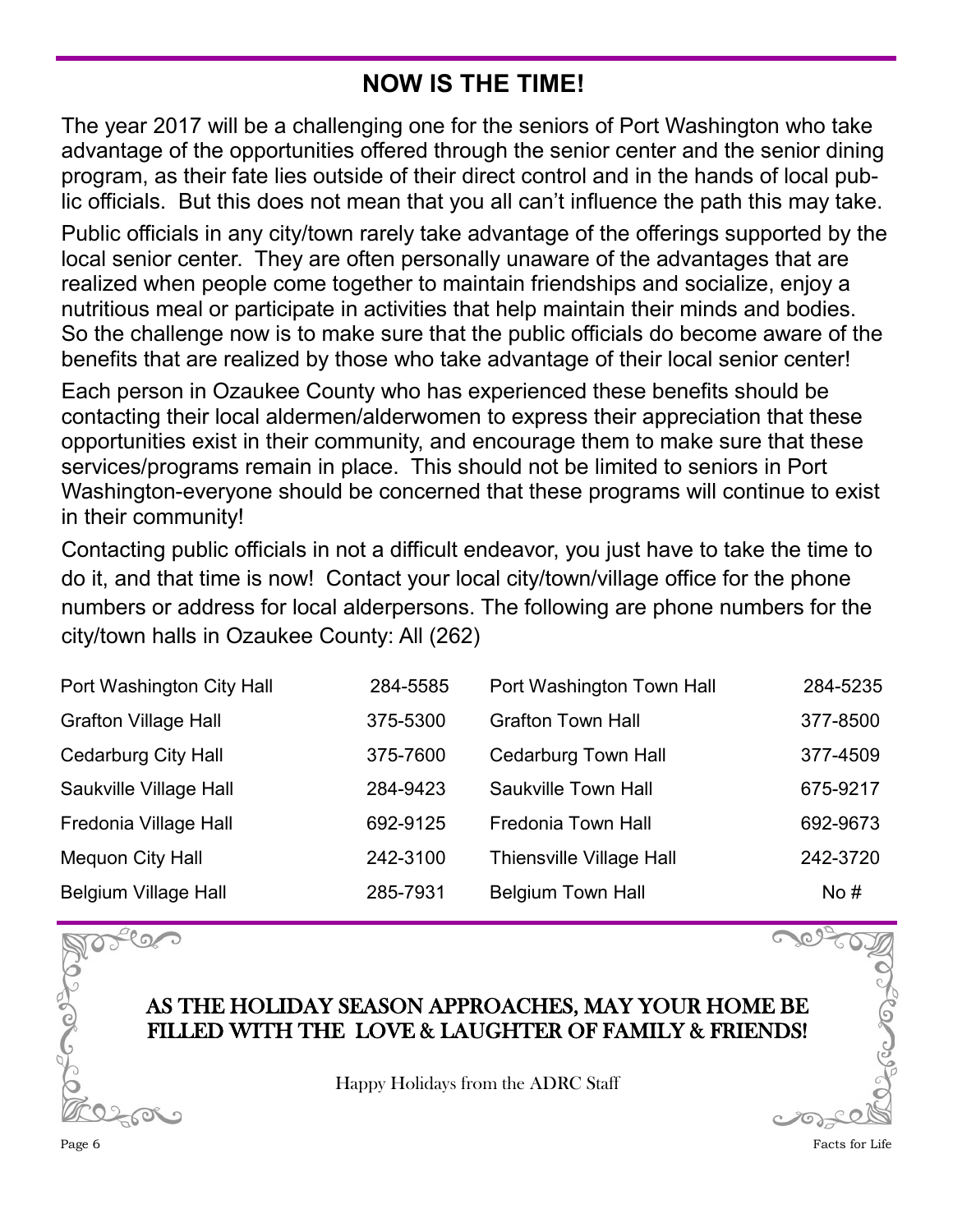## **NOW IS THE TIME!**

The year 2017 will be a challenging one for the seniors of Port Washington who take advantage of the opportunities offered through the senior center and the senior dining program, as their fate lies outside of their direct control and in the hands of local public officials. But this does not mean that you all can't influence the path this may take.

Public officials in any city/town rarely take advantage of the offerings supported by the local senior center. They are often personally unaware of the advantages that are realized when people come together to maintain friendships and socialize, enjoy a nutritious meal or participate in activities that help maintain their minds and bodies. So the challenge now is to make sure that the public officials do become aware of the benefits that are realized by those who take advantage of their local senior center!

Each person in Ozaukee County who has experienced these benefits should be contacting their local aldermen/alderwomen to express their appreciation that these opportunities exist in their community, and encourage them to make sure that these services/programs remain in place. This should not be limited to seniors in Port Washington-everyone should be concerned that these programs will continue to exist in their community!

Contacting public officials in not a difficult endeavor, you just have to take the time to do it, and that time is now! Contact your local city/town/village office for the phone numbers or address for local alderpersons. The following are phone numbers for the city/town halls in Ozaukee County: All (262)

| Port Washington City Hall   | 284-5585 | Port Washington Town Hall       | 284-5235 |
|-----------------------------|----------|---------------------------------|----------|
| <b>Grafton Village Hall</b> | 375-5300 | <b>Grafton Town Hall</b>        | 377-8500 |
| <b>Cedarburg City Hall</b>  | 375-7600 | <b>Cedarburg Town Hall</b>      | 377-4509 |
| Saukville Village Hall      | 284-9423 | Saukville Town Hall             | 675-9217 |
| Fredonia Village Hall       | 692-9125 | <b>Fredonia Town Hall</b>       | 692-9673 |
| Mequon City Hall            | 242-3100 | <b>Thiensville Village Hall</b> | 242-3720 |
| <b>Belgium Village Hall</b> | 285-7931 | <b>Belgium Town Hall</b>        | No#      |



Happy Holidays from the ADRC Staff

 $\infty$ 

 $\bigcap_{\Omega}$ 

 $200$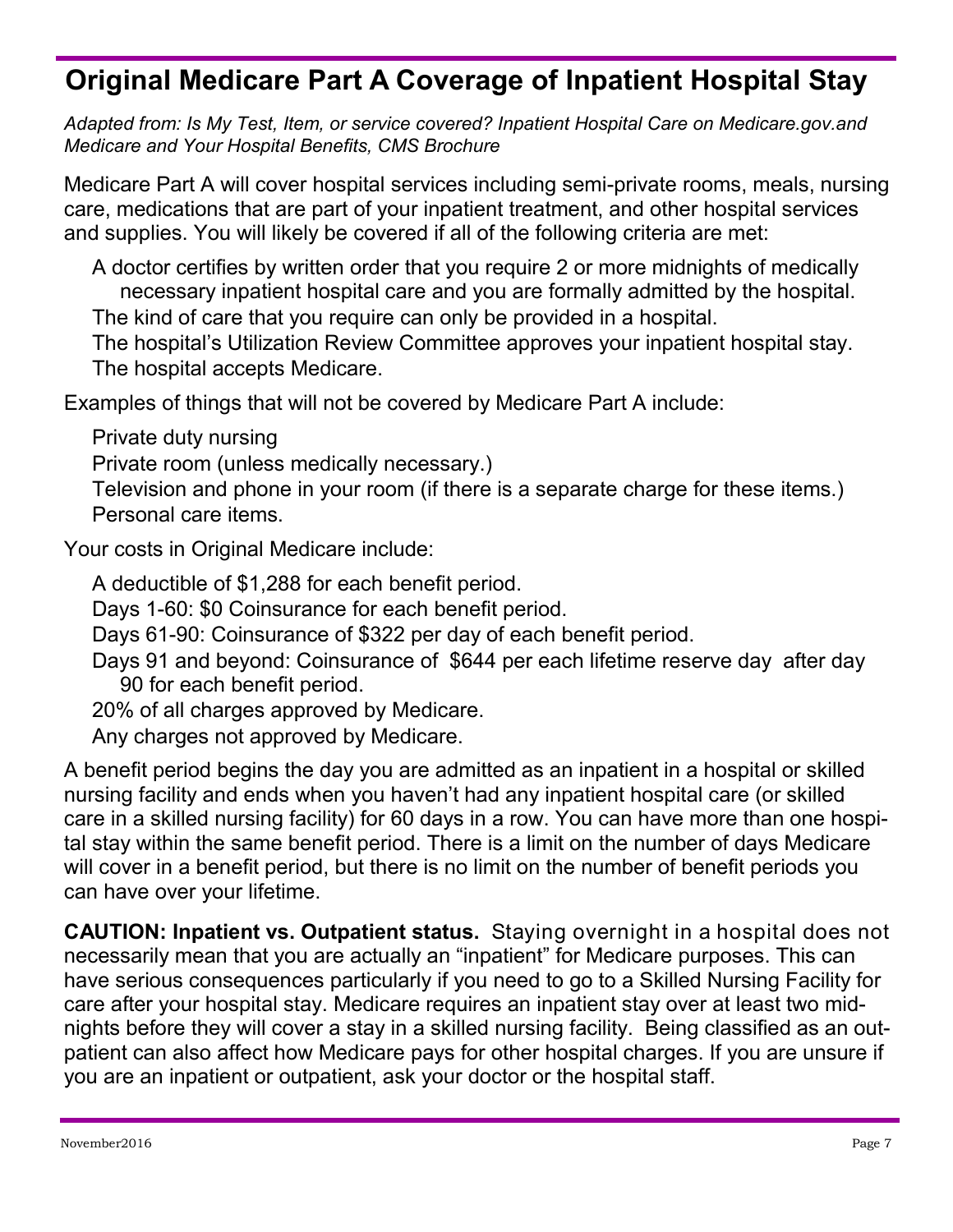## **Original Medicare Part A Coverage of Inpatient Hospital Stay**

*Adapted from: Is My Test, Item, or service covered? Inpatient Hospital Care on Medicare.gov.and Medicare and Your Hospital Benefits, CMS Brochure*

Medicare Part A will cover hospital services including semi-private rooms, meals, nursing care, medications that are part of your inpatient treatment, and other hospital services and supplies. You will likely be covered if all of the following criteria are met:

A doctor certifies by written order that you require 2 or more midnights of medically necessary inpatient hospital care and you are formally admitted by the hospital. The kind of care that you require can only be provided in a hospital.

The hospital's Utilization Review Committee approves your inpatient hospital stay. The hospital accepts Medicare.

Examples of things that will not be covered by Medicare Part A include:

Private duty nursing

Private room (unless medically necessary.)

Television and phone in your room (if there is a separate charge for these items.) Personal care items.

Your costs in Original Medicare include:

A deductible of \$1,288 for each benefit period.

Days 1-60: \$0 Coinsurance for each benefit period.

Days 61-90: Coinsurance of \$322 per day of each benefit period.

Days 91 and beyond: Coinsurance of \$644 per each lifetime reserve day after day 90 for each benefit period.

20% of all charges approved by Medicare.

Any charges not approved by Medicare.

A benefit period begins the day you are admitted as an inpatient in a hospital or skilled nursing facility and ends when you haven't had any inpatient hospital care (or skilled care in a skilled nursing facility) for 60 days in a row. You can have more than one hospital stay within the same benefit period. There is a limit on the number of days Medicare will cover in a benefit period, but there is no limit on the number of benefit periods you can have over your lifetime.

**CAUTION: Inpatient vs. Outpatient status.** Staying overnight in a hospital does not necessarily mean that you are actually an "inpatient" for Medicare purposes. This can have serious consequences particularly if you need to go to a Skilled Nursing Facility for care after your hospital stay. Medicare requires an inpatient stay over at least two midnights before they will cover a stay in a skilled nursing facility. Being classified as an outpatient can also affect how Medicare pays for other hospital charges. If you are unsure if you are an inpatient or outpatient, ask your doctor or the hospital staff.